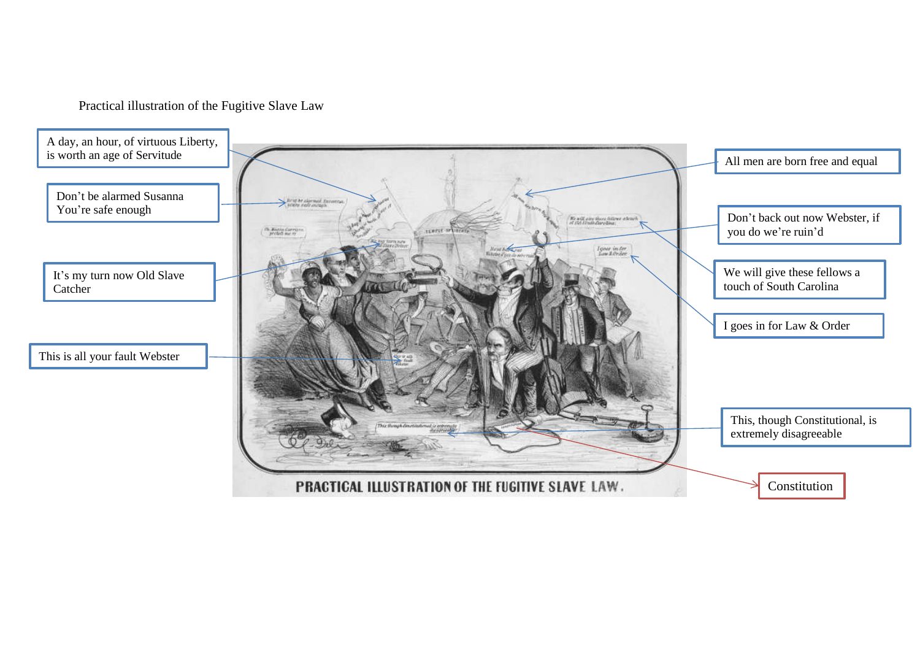Practical illustration of the Fugitive Slave Law